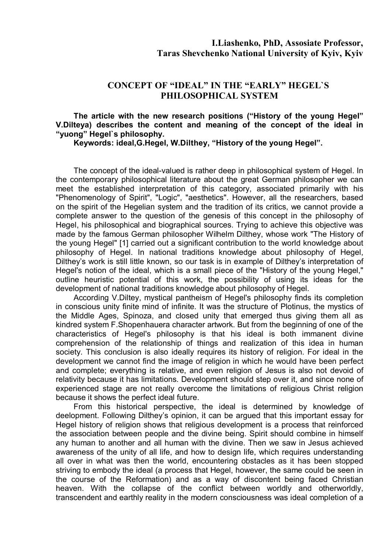## **CONCEPT OF "IDEAL" IN THE "EARLY" HEGEL`S PHILOSOPHICAL SYSTEM**

## **The article with the new research positions ("History of the young Hegel" V.Dilteya) describes the content and meaning of the concept of the ideal in "yuong" Hegel`s philosophy.**

**Keywords: ideal,G.Hegel, W.Dilthey, "History of the young Hegel".**

The concept of the ideal-valued is rather deep in philosophical system of Hegel. In the contemporary philosophical literature about the great German philosopher we can meet the established interpretation of this category, associated primarily with his "Phenomenology of Spirit", "Logic", "aesthetics". However, all the researchers, based on the spirit of the Hegelian system and the tradition of its critics, we cannot provide a complete answer to the question of the genesis of this concept in the philosophy of Hegel, his philosophical and biographical sources. Trying to achieve this objective was made by the famous German philosopher Wilhelm Dilthey, whose work "The History of the young Hegel" [1] carried out a significant contribution to the world knowledge about philosophy of Hegel. In national traditions knowledge about philosophy of Hegel, Dilthey's work is still little known, so our task is in example of Dilthey's interpretation of Hegel's notion of the ideal, which is a small piece of the "History of the young Hegel," outline heuristic potential of this work, the possibility of using its ideas for the development of national traditions knowledge about philosophy of Hegel.

According V.Diltey, mystical pantheism of Hegel's philosophy finds its completion in conscious unity finite mind of infinite. It was the structure of Plotinus, the mystics of the Middle Ages, Spinoza, and closed unity that emerged thus giving them all as kindred system F.Shopenhauera character artwork. But from the beginning of one of the characteristics of Hegel's philosophy is that his ideal is both immanent divine comprehension of the relationship of things and realization of this idea in human society. This conclusion is also ideally requires its history of religion. For ideal in the development we cannot find the image of religion in which he would have been perfect and complete; everything is relative, and even religion of Jesus is also not devoid of relativity because it has limitations. Development should step over it, and since none of experienced stage are not really overcome the limitations of religious Christ religion because it shows the perfect ideal future.

From this historical perspective, the ideal is determined by knowledge of deelopment. Following Dilthey's opinion, it can be argued that this important essay for Hegel history of religion shows that religious development is a process that reinforced the association between people and the divine being. Spirit should combine in himself any human to another and all human with the divine. Then we saw in Jesus achieved awareness of the unity of all life, and how to design life, which requires understanding all over in what was then the world, encountering obstacles as it has been stopped striving to embody the ideal (a process that Hegel, however, the same could be seen in the course of the Reformation) and as a way of discontent being faced Christian heaven. With the collapse of the conflict between worldly and otherworldly, transcendent and earthly reality in the modern consciousness was ideal completion of a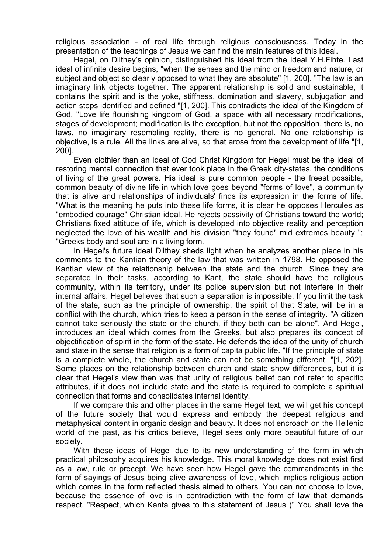religious association - of real life through religious consciousness. Today in the presentation of the teachings of Jesus we can find the main features of this ideal.

Hegel, on Dilthey's opinion, distinguished his ideal from the ideal Y.H.Fihte. Last ideal of infinite desire begins, "when the senses and the mind or freedom and nature, or subject and object so clearly opposed to what they are absolute" [1, 200]. "The law is an imaginary link objects together. The apparent relationship is solid and sustainable, it contains the spirit and is the yoke, stiffness, domination and slavery, subjugation and action steps identified and defined "[1, 200]. This contradicts the ideal of the Kingdom of God. "Love life flourishing kingdom of God, a space with all necessary modifications, stages of development; modification is the exception, but not the opposition, there is, no laws, no imaginary resembling reality, there is no general. No one relationship is objective, is a rule. All the links are alive, so that arose from the development of life "[1, 200].

Even clothier than an ideal of God Christ Kingdom for Hegel must be the ideal of restoring mental connection that ever took place in the Greek city-states, the conditions of living of the great powers. His ideal is pure common people - the freest possible, common beauty of divine life in which love goes beyond "forms of love", a community that is alive and relationships of individuals' finds its expression in the forms of life. "What is the meaning he puts into these life forms, it is clear he opposes Hercules as "embodied courage" Christian ideal. He rejects passivity of Christians toward the world; Christians fixed attitude of life, which is developed into objective reality and perception neglected the love of his wealth and his division "they found" mid extremes beauty "; "Greeks body and soul are in a living form.

In Hegel's future ideal Dilthey sheds light when he analyzes another piece in his comments to the Kantian theory of the law that was written in 1798. He opposed the Kantian view of the relationship between the state and the church. Since they are separated in their tasks, according to Kant, the state should have the religious community, within its territory, under its police supervision but not interfere in their internal affairs. Hegel believes that such a separation is impossible. If you limit the task of the state, such as the principle of ownership, the spirit of that State, will be in a conflict with the church, which tries to keep a person in the sense of integrity. "A citizen cannot take seriously the state or the church, if they both can be alone". And Hegel, introduces an ideal which comes from the Greeks, but also prepares its concept of objectification of spirit in the form of the state. He defends the idea of the unity of church and state in the sense that religion is a form of capita public life. "If the principle of state is a complete whole, the church and state can not be something different. "[1, 202]. Some places on the relationship between church and state show differences, but it is clear that Hegel's view then was that unity of religious belief can not refer to specific attributes, if it does not include state and the state is required to complete a spiritual connection that forms and consolidates internal identity.

If we compare this and other places in the same Hegel text, we will get his concept of the future society that would express and embody the deepest religious and metaphysical content in organic design and beauty. It does not encroach on the Hellenic world of the past, as his critics believe, Hegel sees only more beautiful future of our society.

With these ideas of Hegel due to its new understanding of the form in which practical philosophy acquires his knowledge. This moral knowledge does not exist first as a law, rule or precept. We have seen how Hegel gave the commandments in the form of sayings of Jesus being alive awareness of love, which implies religious action which comes in the form reflected thesis aimed to others. You can not choose to love, because the essence of love is in contradiction with the form of law that demands respect. "Respect, which Kanta gives to this statement of Jesus (" You shall love the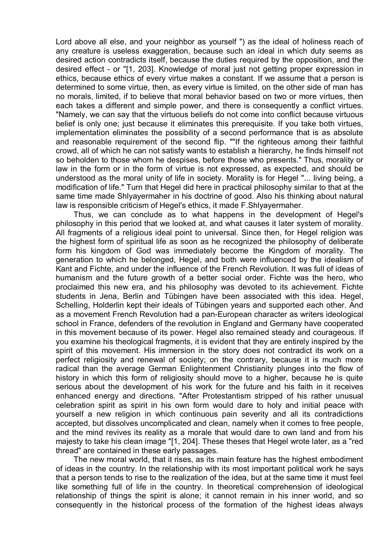Lord above all else, and your neighbor as yourself ") as the ideal of holiness reach of any creature is useless exaggeration, because such an ideal in which duty seems as desired action contradicts itself, because the duties required by the opposition, and the desired effect - or "[1, 203]. Knowledge of moral just not getting proper expression in ethics, because ethics of every virtue makes a constant. If we assume that a person is determined to some virtue, then, as every virtue is limited, on the other side of man has no morals, limited, if to believe that moral behavior based on two or more virtues, then each takes a different and simple power, and there is consequently a conflict virtues. "Namely, we can say that the virtuous beliefs do not come into conflict because virtuous belief is only one; just because it eliminates this prerequisite. If you take both virtues, implementation eliminates the possibility of a second performance that is as absolute and reasonable requirement of the second flip. ""If the righteous among their faithful crowd, all of which he can not satisfy wants to establish a hierarchy, he finds himself not so beholden to those whom he despises, before those who presents." Thus, morality or law in the form or in the form of virtue is not expressed, as expected, and should be understood as the moral unity of life in society. Morality is for Hegel "... living being, a modification of life." Turn that Hegel did here in practical philosophy similar to that at the same time made Shlyayermaher in his doctrine of good. Also his thinking about natural law is responsible criticism of Hegel's ethics, it made F.Shlyayermaher.

Thus, we can conclude as to what happens in the development of Hegel's philosophy in this period that we looked at, and what causes it later system of morality. All fragments of a religious ideal point to universal. Since then, for Hegel religion was the highest form of spiritual life as soon as he recognized the philosophy of deliberate form his kingdom of God was immediately become the Kingdom of morality. The generation to which he belonged, Hegel, and both were influenced by the idealism of Kant and Fichte, and under the influence of the French Revolution. It was full of ideas of humanism and the future growth of a better social order. Fichte was the hero, who proclaimed this new era, and his philosophy was devoted to its achievement. Fichte students in Jena, Berlin and Tübingen have been associated with this idea. Hegel, Schelling, Holderlin kept their ideals of Tübingen years and supported each other. And as a movement French Revolution had a pan-European character as writers ideological school in France, defenders of the revolution in England and Germany have cooperated in this movement because of its power. Hegel also remained steady and courageous. If you examine his theological fragments, it is evident that they are entirely inspired by the spirit of this movement. His immersion in the story does not contradict its work on a perfect religiosity and renewal of society; on the contrary, because it is much more radical than the average German Enlightenment Christianity plunges into the flow of history in which this form of religiosity should move to a higher, because he is quite serious about the development of his work for the future and his faith in it receives enhanced energy and directions. "After Protestantism stripped of his rather unusual celebration spirit as spirit in his own form would dare to holy and initial peace with yourself a new religion in which continuous pain severity and all its contradictions accepted, but dissolves uncomplicated and clean, namely when it comes to free people, and the mind revives its reality as a morale that would dare to own land and from his majesty to take his clean image "[1, 204]. These theses that Hegel wrote later, as a "red thread" are contained in these early passages.

The new moral world, that it rises, as its main feature has the highest embodiment of ideas in the country. In the relationship with its most important political work he says that a person tends to rise to the realization of the idea, but at the same time it must feel like something full of life in the country. In theoretical comprehension of ideological relationship of things the spirit is alone; it cannot remain in his inner world, and so consequently in the historical process of the formation of the highest ideas always